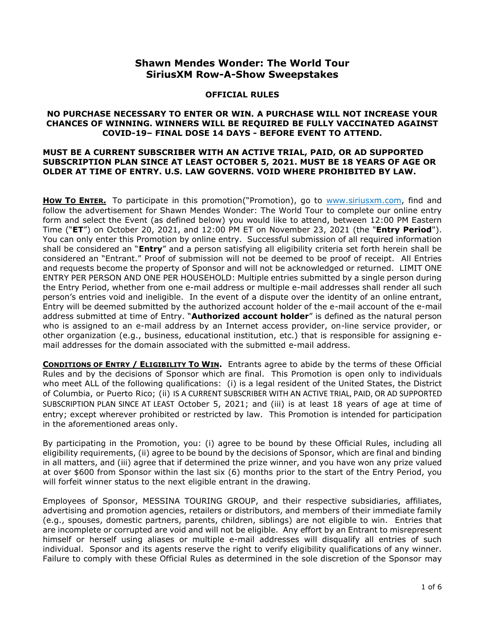# **Shawn Mendes Wonder: The World Tour SiriusXM Row-A-Show Sweepstakes**

### **OFFICIAL RULES**

#### **NO PURCHASE NECESSARY TO ENTER OR WIN. A PURCHASE WILL NOT INCREASE YOUR CHANCES OF WINNING. WINNERS WILL BE REQUIRED BE FULLY VACCINATED AGAINST COVID-19– FINAL DOSE 14 DAYS - BEFORE EVENT TO ATTEND.**

#### **MUST BE A CURRENT SUBSCRIBER WITH AN ACTIVE TRIAL, PAID, OR AD SUPPORTED SUBSCRIPTION PLAN SINCE AT LEAST OCTOBER 5, 2021. MUST BE 18 YEARS OF AGE OR OLDER AT TIME OF ENTRY. U.S. LAW GOVERNS. VOID WHERE PROHIBITED BY LAW.**

**How To ENTER.** To participate in this promotion("Promotion), go to [www.siriusxm.com,](http://www.siriusxm.com/) find and follow the advertisement for Shawn Mendes Wonder: The World Tour to complete our online entry form and select the Event (as defined below) you would like to attend, between 12:00 PM Eastern Time ("**ET**") on October 20, 2021, and 12:00 PM ET on November 23, 2021 (the "**Entry Period**"). You can only enter this Promotion by online entry. Successful submission of all required information shall be considered an "**Entry**" and a person satisfying all eligibility criteria set forth herein shall be considered an "Entrant." Proof of submission will not be deemed to be proof of receipt. All Entries and requests become the property of Sponsor and will not be acknowledged or returned. LIMIT ONE ENTRY PER PERSON AND ONE PER HOUSEHOLD: Multiple entries submitted by a single person during the Entry Period, whether from one e-mail address or multiple e-mail addresses shall render all such person's entries void and ineligible. In the event of a dispute over the identity of an online entrant, Entry will be deemed submitted by the authorized account holder of the e-mail account of the e-mail address submitted at time of Entry. "**Authorized account holder**" is defined as the natural person who is assigned to an e-mail address by an Internet access provider, on-line service provider, or other organization (e.g., business, educational institution, etc.) that is responsible for assigning email addresses for the domain associated with the submitted e-mail address.

**CONDITIONS OF ENTRY / ELIGIBILITY TO WIN.** Entrants agree to abide by the terms of these Official Rules and by the decisions of Sponsor which are final. This Promotion is open only to individuals who meet ALL of the following qualifications: (i) is a legal resident of the United States, the District of Columbia, or Puerto Rico; (ii) IS A CURRENT SUBSCRIBER WITH AN ACTIVE TRIAL, PAID, OR AD SUPPORTED SUBSCRIPTION PLAN SINCE AT LEAST October 5, 2021; and (iii) is at least 18 years of age at time of entry; except wherever prohibited or restricted by law. This Promotion is intended for participation in the aforementioned areas only.

By participating in the Promotion, you: (i) agree to be bound by these Official Rules, including all eligibility requirements, (ii) agree to be bound by the decisions of Sponsor, which are final and binding in all matters, and (iii) agree that if determined the prize winner, and you have won any prize valued at over \$600 from Sponsor within the last six (6) months prior to the start of the Entry Period, you will forfeit winner status to the next eligible entrant in the drawing.

Employees of Sponsor, MESSINA TOURING GROUP, and their respective subsidiaries, affiliates, advertising and promotion agencies, retailers or distributors, and members of their immediate family (e.g., spouses, domestic partners, parents, children, siblings) are not eligible to win. Entries that are incomplete or corrupted are void and will not be eligible. Any effort by an Entrant to misrepresent himself or herself using aliases or multiple e-mail addresses will disqualify all entries of such individual. Sponsor and its agents reserve the right to verify eligibility qualifications of any winner. Failure to comply with these Official Rules as determined in the sole discretion of the Sponsor may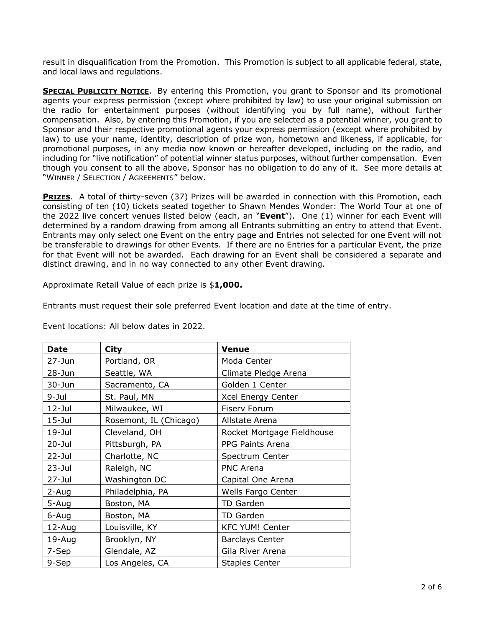result in disqualification from the Promotion. This Promotion is subject to all applicable federal, state, and local laws and regulations.

**SPECIAL PUBLICITY NOTICE**. By entering this Promotion, you grant to Sponsor and its promotional agents your express permission (except where prohibited by law) to use your original submission on the radio for entertainment purposes (without identifying you by full name), without further compensation. Also, by entering this Promotion, if you are selected as a potential winner, you grant to Sponsor and their respective promotional agents your express permission (except where prohibited by law) to use your name, identity, description of prize won, hometown and likeness, if applicable, for promotional purposes, in any media now known or hereafter developed, including on the radio, and including for "live notification" of potential winner status purposes, without further compensation. Even though you consent to all the above, Sponsor has no obligation to do any of it. See more details at "WINNER / SELECTION / AGREEMENTS" below.

**PRIZES**. A total of thirty-seven (37) Prizes will be awarded in connection with this Promotion, each consisting of ten (10) tickets seated together to Shawn Mendes Wonder: The World Tour at one of the 2022 live concert venues listed below (each, an "**Event**"). One (1) winner for each Event will determined by a random drawing from among all Entrants submitting an entry to attend that Event. Entrants may only select one Event on the entry page and Entries not selected for one Event will not be transferable to drawings for other Events. If there are no Entries for a particular Event, the prize for that Event will not be awarded. Each drawing for an Event shall be considered a separate and distinct drawing, and in no way connected to any other Event drawing.

Approximate Retail Value of each prize is \$**1,000.**

Entrants must request their sole preferred Event location and date at the time of entry.

| <b>Date</b> | <b>City</b>            | <b>Venue</b>               |
|-------------|------------------------|----------------------------|
| $27 - Jun$  | Portland, OR           | Moda Center                |
| $28 - Jun$  | Seattle, WA            | Climate Pledge Arena       |
| $30 - Jun$  | Sacramento, CA         | Golden 1 Center            |
| $9 -$ Jul   | St. Paul, MN           | Xcel Energy Center         |
| $12 -$ Jul  | Milwaukee, WI          | Fiserv Forum               |
| $15 -$ Jul  | Rosemont, IL (Chicago) | Allstate Arena             |
| $19 -$ Jul  | Cleveland, OH          | Rocket Mortgage Fieldhouse |
| $20 -$ Jul  | Pittsburgh, PA         | PPG Paints Arena           |
| $22 -$ Jul  | Charlotte, NC          | Spectrum Center            |
| $23 -$ Jul  | Raleigh, NC            | <b>PNC Arena</b>           |
| $27 -$ Jul  | Washington DC          | Capital One Arena          |
| 2-Aug       | Philadelphia, PA       | Wells Fargo Center         |
| 5-Aug       | Boston, MA             | TD Garden                  |
| 6-Aug       | Boston, MA             | TD Garden                  |
| 12-Aug      | Louisville, KY         | <b>KFC YUM! Center</b>     |
| 19-Aug      | Brooklyn, NY           | <b>Barclays Center</b>     |
| 7-Sep       | Glendale, AZ           | Gila River Arena           |
| 9-Sep       | Los Angeles, CA        | <b>Staples Center</b>      |

Event locations: All below dates in 2022.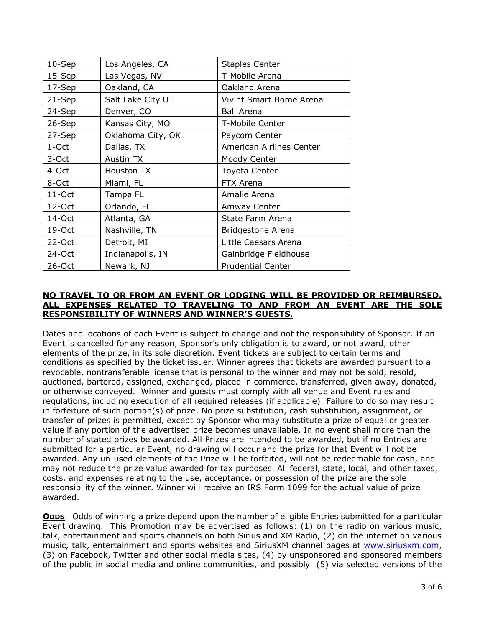| $10-$ Sep | Los Angeles, CA   | <b>Staples Center</b>    |
|-----------|-------------------|--------------------------|
| $15-$ Sep | Las Vegas, NV     | T-Mobile Arena           |
| 17-Sep    | Oakland, CA       | Oakland Arena            |
| 21-Sep    | Salt Lake City UT | Vivint Smart Home Arena  |
| 24-Sep    | Denver, CO        | <b>Ball Arena</b>        |
| 26-Sep    | Kansas City, MO   | T-Mobile Center          |
| 27-Sep    | Oklahoma City, OK | Paycom Center            |
| 1-Oct     | Dallas, TX        | American Airlines Center |
| 3-Oct     | Austin TX         | Moody Center             |
| 4-Oct     | Houston TX        | <b>Toyota Center</b>     |
| 8-Oct     | Miami, FL         | FTX Arena                |
| $11$ -Oct | Tampa FL          | Amalie Arena             |
| $12$ -Oct | Orlando, FL       | Amway Center             |
| 14-Oct    | Atlanta, GA       | State Farm Arena         |
| 19-Oct    | Nashville, TN     | <b>Bridgestone Arena</b> |
| 22-Oct    | Detroit, MI       | Little Caesars Arena     |
| 24-Oct    | Indianapolis, IN  | Gainbridge Fieldhouse    |
| $26$ -Oct | Newark, NJ        | <b>Prudential Center</b> |

## **NO TRAVEL TO OR FROM AN EVENT OR LODGING WILL BE PROVIDED OR REIMBURSED. ALL EXPENSES RELATED TO TRAVELING TO AND FROM AN EVENT ARE THE SOLE RESPONSIBILITY OF WINNERS AND WINNER'S GUESTS.**

Dates and locations of each Event is subject to change and not the responsibility of Sponsor. If an Event is cancelled for any reason, Sponsor's only obligation is to award, or not award, other elements of the prize, in its sole discretion. Event tickets are subject to certain terms and conditions as specified by the ticket issuer. Winner agrees that tickets are awarded pursuant to a revocable, nontransferable license that is personal to the winner and may not be sold, resold, auctioned, bartered, assigned, exchanged, placed in commerce, transferred, given away, donated, or otherwise conveyed. Winner and guests must comply with all venue and Event rules and regulations, including execution of all required releases (if applicable). Failure to do so may result in forfeiture of such portion(s) of prize. No prize substitution, cash substitution, assignment, or transfer of prizes is permitted, except by Sponsor who may substitute a prize of equal or greater value if any portion of the advertised prize becomes unavailable. In no event shall more than the number of stated prizes be awarded. All Prizes are intended to be awarded, but if no Entries are submitted for a particular Event, no drawing will occur and the prize for that Event will not be awarded. Any un-used elements of the Prize will be forfeited, will not be redeemable for cash, and may not reduce the prize value awarded for tax purposes. All federal, state, local, and other taxes, costs, and expenses relating to the use, acceptance, or possession of the prize are the sole responsibility of the winner. Winner will receive an IRS Form 1099 for the actual value of prize awarded.

**ODDS.** Odds of winning a prize depend upon the number of eligible Entries submitted for a particular Event drawing. This Promotion may be advertised as follows: (1) on the radio on various music, talk, entertainment and sports channels on both Sirius and XM Radio, (2) on the internet on various music, talk, entertainment and sports websites and SiriusXM channel pages at [www.siriusxm.com,](http://www.siriusxm.com/) (3) on Facebook, Twitter and other social media sites, (4) by unsponsored and sponsored members of the public in social media and online communities, and possibly (5) via selected versions of the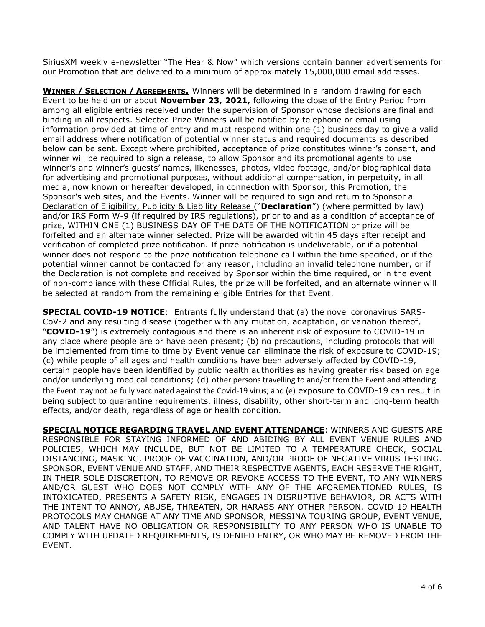SiriusXM weekly e-newsletter "The Hear & Now" which versions contain banner advertisements for our Promotion that are delivered to a minimum of approximately 15,000,000 email addresses.

**WINNER / SELECTION / AGREEMENTS.** Winners will be determined in a random drawing for each Event to be held on or about **November 23, 2021,** following the close of the Entry Period from among all eligible entries received under the supervision of Sponsor whose decisions are final and binding in all respects. Selected Prize Winners will be notified by telephone or email using information provided at time of entry and must respond within one (1) business day to give a valid email address where notification of potential winner status and required documents as described below can be sent. Except where prohibited, acceptance of prize constitutes winner's consent, and winner will be required to sign a release, to allow Sponsor and its promotional agents to use winner's and winner's guests' names, likenesses, photos, video footage, and/or biographical data for advertising and promotional purposes, without additional compensation, in perpetuity, in all media, now known or hereafter developed, in connection with Sponsor, this Promotion, the Sponsor's web sites, and the Events. Winner will be required to sign and return to Sponsor a Declaration of Eligibility, Publicity & Liability Release ("**Declaration**") (where permitted by law) and/or IRS Form W-9 (if required by IRS regulations), prior to and as a condition of acceptance of prize, WITHIN ONE (1) BUSINESS DAY OF THE DATE OF THE NOTIFICATION or prize will be forfeited and an alternate winner selected. Prize will be awarded within 45 days after receipt and verification of completed prize notification. If prize notification is undeliverable, or if a potential winner does not respond to the prize notification telephone call within the time specified, or if the potential winner cannot be contacted for any reason, including an invalid telephone number, or if the Declaration is not complete and received by Sponsor within the time required, or in the event of non-compliance with these Official Rules, the prize will be forfeited, and an alternate winner will be selected at random from the remaining eligible Entries for that Event.

**SPECIAL COVID-19 NOTICE:** Entrants fully understand that (a) the novel coronavirus SARS-CoV-2 and any resulting disease (together with any mutation, adaptation, or variation thereof, "**COVID-19**") is extremely contagious and there is an inherent risk of exposure to COVID-19 in any place where people are or have been present; (b) no precautions, including protocols that will be implemented from time to time by Event venue can eliminate the risk of exposure to COVID-19; (c) while people of all ages and health conditions have been adversely affected by COVID-19, certain people have been identified by public health authorities as having greater risk based on age and/or underlying medical conditions; (d) other persons travelling to and/or from the Event and attending the Event may not be fully vaccinated against the Covid-19 virus; and (e) exposure to COVID-19 can result in being subject to quarantine requirements, illness, disability, other short-term and long-term health effects, and/or death, regardless of age or health condition.

**SPECIAL NOTICE REGARDING TRAVEL AND EVENT ATTENDANCE**: WINNERS AND GUESTS ARE RESPONSIBLE FOR STAYING INFORMED OF AND ABIDING BY ALL EVENT VENUE RULES AND POLICIES, WHICH MAY INCLUDE, BUT NOT BE LIMITED TO A TEMPERATURE CHECK, SOCIAL DISTANCING, MASKING, PROOF OF VACCINATION, AND/OR PROOF OF NEGATIVE VIRUS TESTING. SPONSOR, EVENT VENUE AND STAFF, AND THEIR RESPECTIVE AGENTS, EACH RESERVE THE RIGHT, IN THEIR SOLE DISCRETION, TO REMOVE OR REVOKE ACCESS TO THE EVENT, TO ANY WINNERS AND/OR GUEST WHO DOES NOT COMPLY WITH ANY OF THE AFOREMENTIONED RULES, IS INTOXICATED, PRESENTS A SAFETY RISK, ENGAGES IN DISRUPTIVE BEHAVIOR, OR ACTS WITH THE INTENT TO ANNOY, ABUSE, THREATEN, OR HARASS ANY OTHER PERSON. COVID-19 HEALTH PROTOCOLS MAY CHANGE AT ANY TIME AND SPONSOR, MESSINA TOURING GROUP, EVENT VENUE, AND TALENT HAVE NO OBLIGATION OR RESPONSIBILITY TO ANY PERSON WHO IS UNABLE TO COMPLY WITH UPDATED REQUIREMENTS, IS DENIED ENTRY, OR WHO MAY BE REMOVED FROM THE EVENT.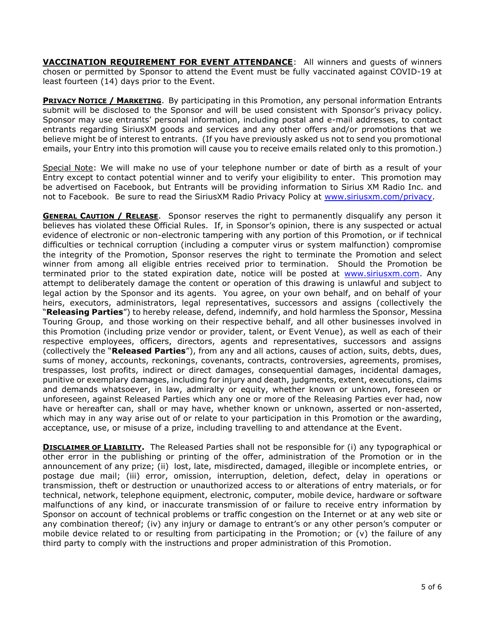**VACCINATION REQUIREMENT FOR EVENT ATTENDANCE**: All winners and guests of winners chosen or permitted by Sponsor to attend the Event must be fully vaccinated against COVID-19 at least fourteen (14) days prior to the Event.

**PRIVACY NOTICE / MARKETING**. By participating in this Promotion, any personal information Entrants submit will be disclosed to the Sponsor and will be used consistent with Sponsor's privacy policy. Sponsor may use entrants' personal information, including postal and e-mail addresses, to contact entrants regarding SiriusXM goods and services and any other offers and/or promotions that we believe might be of interest to entrants. (If you have previously asked us not to send you promotional emails, your Entry into this promotion will cause you to receive emails related only to this promotion.)

Special Note: We will make no use of your telephone number or date of birth as a result of your Entry except to contact potential winner and to verify your eligibility to enter. This promotion may be advertised on Facebook, but Entrants will be providing information to Sirius XM Radio Inc. and not to Facebook. Be sure to read the SiriusXM Radio Privacy Policy at [www.siriusxm.com/privacy.](http://www.siriusxm.com/privacy)

**GENERAL CAUTION / RELEASE.** Sponsor reserves the right to permanently disqualify any person it believes has violated these Official Rules. If, in Sponsor's opinion, there is any suspected or actual evidence of electronic or non-electronic tampering with any portion of this Promotion, or if technical difficulties or technical corruption (including a computer virus or system malfunction) compromise the integrity of the Promotion, Sponsor reserves the right to terminate the Promotion and select winner from among all eligible entries received prior to termination. Should the Promotion be terminated prior to the stated expiration date, notice will be posted at [www.siriusxm.com.](http://www.siriusxm.com/) Any attempt to deliberately damage the content or operation of this drawing is unlawful and subject to legal action by the Sponsor and its agents. You agree, on your own behalf, and on behalf of your heirs, executors, administrators, legal representatives, successors and assigns (collectively the "**Releasing Parties**") to hereby release, defend, indemnify, and hold harmless the Sponsor, Messina Touring Group, and those working on their respective behalf, and all other businesses involved in this Promotion (including prize vendor or provider, talent, or Event Venue), as well as each of their respective employees, officers, directors, agents and representatives, successors and assigns (collectively the "**Released Parties**"), from any and all actions, causes of action, suits, debts, dues, sums of money, accounts, reckonings, covenants, contracts, controversies, agreements, promises, trespasses, lost profits, indirect or direct damages, consequential damages, incidental damages, punitive or exemplary damages, including for injury and death, judgments, extent, executions, claims and demands whatsoever, in law, admiralty or equity, whether known or unknown, foreseen or unforeseen, against Released Parties which any one or more of the Releasing Parties ever had, now have or hereafter can, shall or may have, whether known or unknown, asserted or non-asserted, which may in any way arise out of or relate to your participation in this Promotion or the awarding, acceptance, use, or misuse of a prize, including travelling to and attendance at the Event.

**DISCLAIMER OF LIABILITY.** The Released Parties shall not be responsible for (i) any typographical or other error in the publishing or printing of the offer, administration of the Promotion or in the announcement of any prize; (ii) lost, late, misdirected, damaged, illegible or incomplete entries, or postage due mail; (iii) error, omission, interruption, deletion, defect, delay in operations or transmission, theft or destruction or unauthorized access to or alterations of entry materials, or for technical, network, telephone equipment, electronic, computer, mobile device, hardware or software malfunctions of any kind, or inaccurate transmission of or failure to receive entry information by Sponsor on account of technical problems or traffic congestion on the Internet or at any web site or any combination thereof; (iv) any injury or damage to entrant's or any other person's computer or mobile device related to or resulting from participating in the Promotion; or (v) the failure of any third party to comply with the instructions and proper administration of this Promotion.